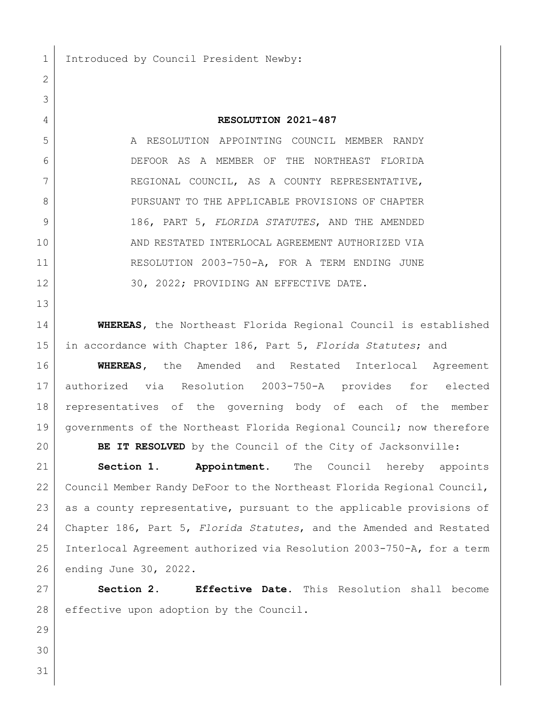1 Introduced by Council President Newby:

**RESOLUTION 2021-487**

5 A RESOLUTION APPOINTING COUNCIL MEMBER RANDY DEFOOR AS A MEMBER OF THE NORTHEAST FLORIDA 7 REGIONAL COUNCIL, AS A COUNTY REPRESENTATIVE, 8 PURSUANT TO THE APPLICABLE PROVISIONS OF CHAPTER 186, PART 5, *FLORIDA STATUTES*, AND THE AMENDED AND RESTATED INTERLOCAL AGREEMENT AUTHORIZED VIA RESOLUTION 2003-750-A, FOR A TERM ENDING JUNE 12 30, 2022; PROVIDING AN EFFECTIVE DATE.

 **WHEREAS,** the Northeast Florida Regional Council is established in accordance with Chapter 186, Part 5, *Florida Statutes*; and

 **WHEREAS,** the Amended and Restated Interlocal Agreement authorized via Resolution 2003-750-A provides for elected representatives of the governing body of each of the member 19 | governments of the Northeast Florida Regional Council; now therefore

**BE IT RESOLVED** by the Council of the City of Jacksonville:

 **Section 1. Appointment.** The Council hereby appoints Council Member Randy DeFoor to the Northeast Florida Regional Council, 23 as a county representative, pursuant to the applicable provisions of Chapter 186, Part 5, *Florida Statutes*, and the Amended and Restated Interlocal Agreement authorized via Resolution 2003-750-A, for a term ending June 30, 2022.

 **Section 2. Effective Date.** This Resolution shall become 28 effective upon adoption by the Council.